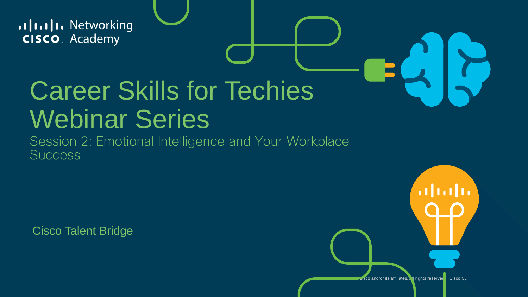allalla Networking **CISCO**. Academy

## Career Skills for Techies Webinar Series

Session 2: Emotional Intelligence and Your Workplace **Success** 

Cisco Talent Bridge

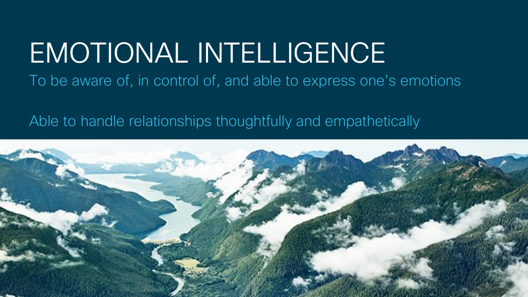#### EMOTIONAL INTELLIGENCE To be aware of, in control of, and able to express one's emotions

Able to handle relationships thoughtfully and empathetically

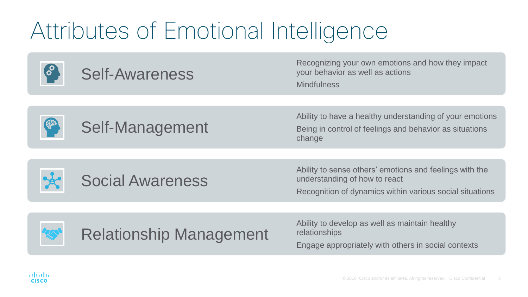#### Attributes of Emotional Intelligence

| <b>Self-Awareness</b>          | Recognizing your own emotions and how they impact<br>your behavior as well as actions<br><b>Mindfulness</b>                                          |
|--------------------------------|------------------------------------------------------------------------------------------------------------------------------------------------------|
|                                |                                                                                                                                                      |
| Self-Management                | Ability to have a healthy understanding of your emotions<br>Being in control of feelings and behavior as situations<br>change                        |
|                                |                                                                                                                                                      |
| <b>Social Awareness</b>        | Ability to sense others' emotions and feelings with the<br>understanding of how to react<br>Recognition of dynamics within various social situations |
|                                |                                                                                                                                                      |
| <b>Relationship Management</b> | Ability to develop as well as maintain healthy<br>relationships<br>Engage appropriately with others in social contexts                               |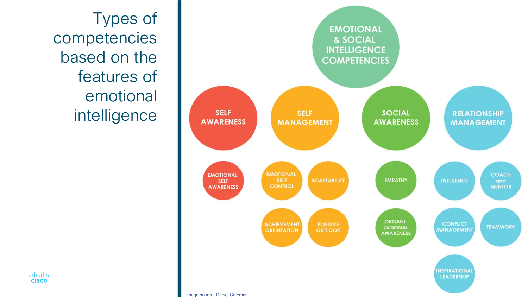Types of competencies based on the features of emotional intelligence



**Administration CISCO**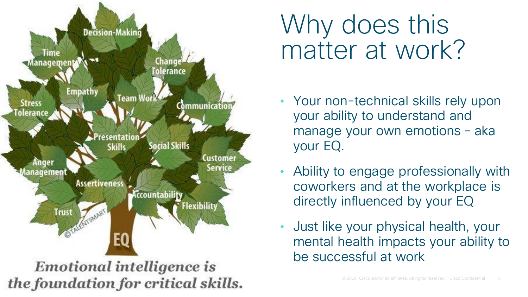

### Why does this matter at work?

- Your non-technical skills rely upon your ability to understand and manage your own emotions – aka your EQ.
- Ability to engage professionally with coworkers and at the workplace is directly influenced by your EQ
- Just like your physical health, your mental health impacts your ability to be successful at work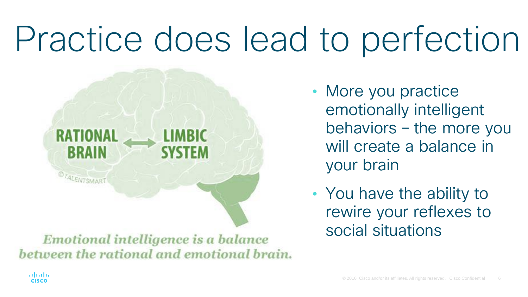# Practice does lead to perfection



Emotional intelligence is a balance between the rational and emotional brain. • More you practice emotionally intelligent behaviors – the more you will create a balance in your brain

• You have the ability to rewire your reflexes to social situations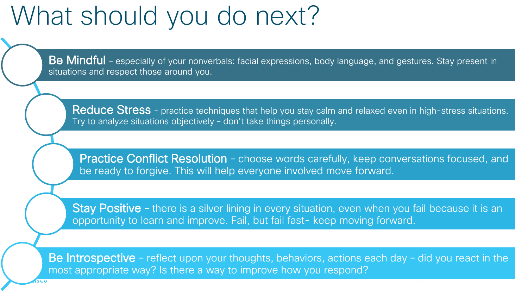### What should you do next?

Be Mindful - especially of your nonverbals: facial expressions, body language, and gestures. Stay present in situations and respect those around you.

Reduce Stress - practice techniques that help you stay calm and relaxed even in high-stress situations. Try to analyze situations objectively – don't take things personally.

Practice Conflict Resolution - choose words carefully, keep conversations focused, and be ready to forgive. This will help everyone involved move forward.

Stay Positive - there is a silver lining in every situation, even when you fail because it is an opportunity to learn and improve. Fail, but fail fast- keep moving forward.

Be Introspective - reflect upon your thoughts, behaviors, actions each day - did you react in the most appropriate way? Is there a way to improve how you respond?

 $\mathcal{L}^{\mathcal{L}}(\mathcal{L}^{\mathcal{L}})$  and  $\mathcal{L}^{\mathcal{L}}(\mathcal{L}^{\mathcal{L}})$  and  $\mathcal{L}^{\mathcal{L}}(\mathcal{L}^{\mathcal{L}})$  and  $\mathcal{L}^{\mathcal{L}}(\mathcal{L}^{\mathcal{L}})$  and  $\mathcal{L}^{\mathcal{L}}(\mathcal{L}^{\mathcal{L}})$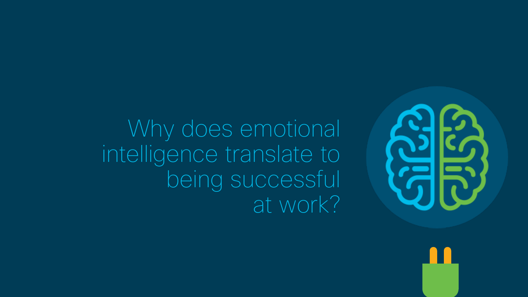

Why does emotional intelligence translate to being successful at work?